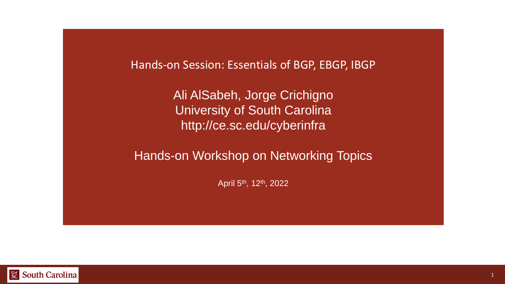Hands-on Session: Essentials of BGP, EBGP, IBGP

Ali AlSabeh, Jorge Crichigno University of South Carolina http://ce.sc.edu/cyberinfra

Hands-on Workshop on Networking Topics

April 5th, 12th, 2022

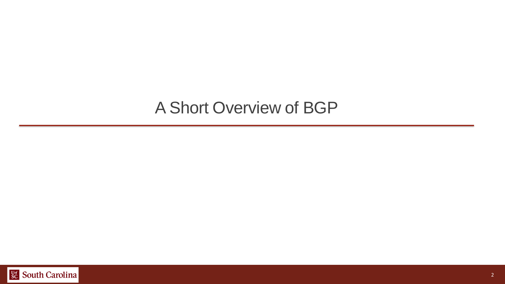### A Short Overview of BGP

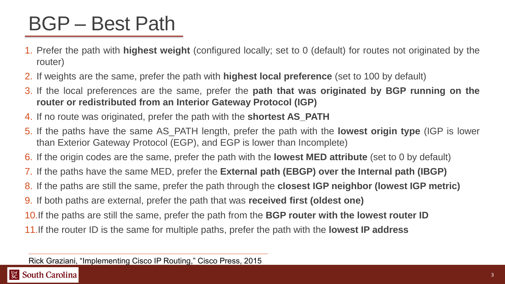### BGP – Best Path

- 1. Prefer the path with **highest weight** (configured locally; set to 0 (default) for routes not originated by the router)
- 2. If weights are the same, prefer the path with **highest local preference** (set to 100 by default)
- 3. If the local preferences are the same, prefer the **path that was originated by BGP running on the router or redistributed from an Interior Gateway Protocol (IGP)**
- 4. If no route was originated, prefer the path with the **shortest AS\_PATH**
- 5. If the paths have the same AS\_PATH length, prefer the path with the **lowest origin type** (IGP is lower than Exterior Gateway Protocol (EGP), and EGP is lower than Incomplete)
- 6. If the origin codes are the same, prefer the path with the **lowest MED attribute** (set to 0 by default)
- 7. If the paths have the same MED, prefer the **External path (EBGP) over the Internal path (IBGP)**
- 8. If the paths are still the same, prefer the path through the **closest IGP neighbor (lowest IGP metric)**
- 9. If both paths are external, prefer the path that was **received first (oldest one)**
- 10.If the paths are still the same, prefer the path from the **BGP router with the lowest router ID**
- 11.If the router ID is the same for multiple paths, prefer the path with the **lowest IP address**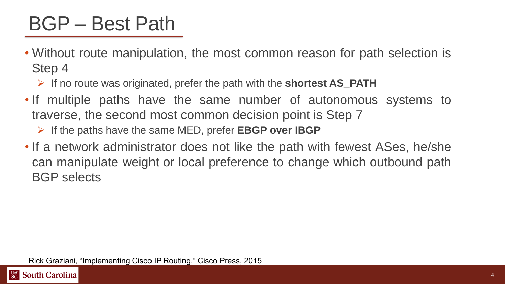## BGP – Best Path

- Without route manipulation, the most common reason for path selection is Step 4
	- ➢ If no route was originated, prefer the path with the **shortest AS\_PATH**
- If multiple paths have the same number of autonomous systems to traverse, the second most common decision point is Step 7
	- ➢ If the paths have the same MED, prefer **EBGP over IBGP**
- If a network administrator does not like the path with fewest ASes, he/she can manipulate weight or local preference to change which outbound path BGP selects

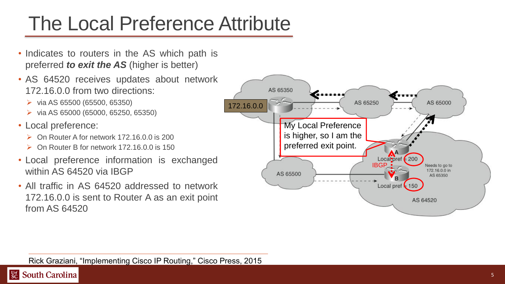# The Local Preference Attribute

- Indicates to routers in the AS which path is preferred *to exit the AS* (higher is better)
- AS 64520 receives updates about network 172.16.0.0 from two directions:
	- $\triangleright$  via AS 65500 (65500, 65350)
	- ➢ via AS 65000 (65000, 65250, 65350)
- Local preference:
	- ➢ On Router A for network 172.16.0.0 is 200
	- ➢ On Router B for network 172.16.0.0 is 150
- Local preference information is exchanged within AS 64520 via IBGP
- All traffic in AS 64520 addressed to network 172.16.0.0 is sent to Router A as an exit point from AS 64520

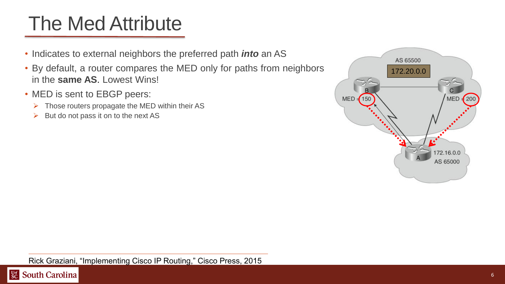## The Med Attribute

- Indicates to external neighbors the preferred path *into* an AS
- By default, a router compares the MED only for paths from neighbors in the **same AS**. Lowest Wins!
- MED is sent to EBGP peers:
	- $\triangleright$  Those routers propagate the MED within their AS
	- $\triangleright$  But do not pass it on to the next AS



#### Rick Graziani, "Implementing Cisco IP Routing," Cisco Press, 2015

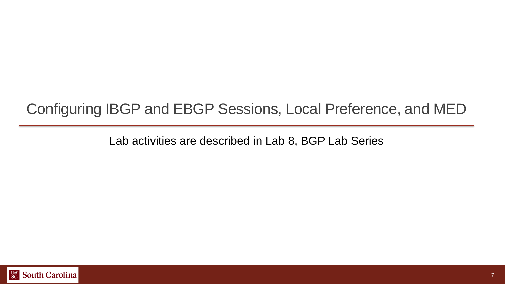### Configuring IBGP and EBGP Sessions, Local Preference, and MED

Lab activities are described in Lab 8, BGP Lab Series

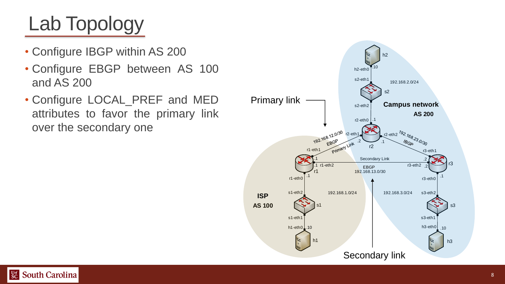- Configure IBGP within AS 200
- Configure EBGP between AS 100 and AS 200
- Configure LOCAL\_PREF and MED attributes to favor the primary link over the secondary one

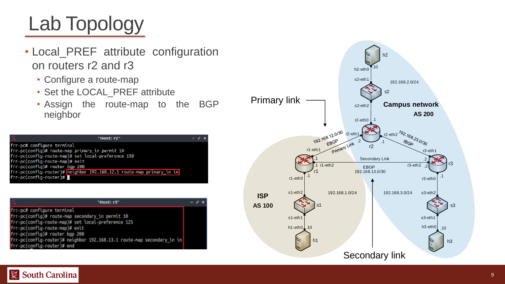- Local\_PREF attribute configuration on routers r2 and r3
	- Configure a route-map
	- Set the LOCAL\_PREF attribute
	- Assign the route-map to the BGP neighbor

| х                              | "Host: r2"                                                           | $-7x$ |  |  |  |
|--------------------------------|----------------------------------------------------------------------|-------|--|--|--|
| frr-pc# configure terminal     |                                                                      |       |  |  |  |
|                                | frr-pc(config)# route-map primary_in permit 10                       |       |  |  |  |
|                                | frr-pc(config-route-map)# set local-preference 150                   |       |  |  |  |
| frr-pc(config-route-map)# exit |                                                                      |       |  |  |  |
| frr-pc(config)# router bgp 200 |                                                                      |       |  |  |  |
|                                | frr-pc(config-router)# neighbor 192.168.12.1 route-map primary in in |       |  |  |  |
| $frr$ -pc(config-router)#      |                                                                      |       |  |  |  |
|                                |                                                                      |       |  |  |  |

| "Host: r3"                                                                                                                                                                                                                                                                                                       | $-7x$ |
|------------------------------------------------------------------------------------------------------------------------------------------------------------------------------------------------------------------------------------------------------------------------------------------------------------------|-------|
| frr-pc# configure terminal<br>frr-pc(config)# route-map secondary_in permit 10<br>frr-pc(config-route-map)# set local-preference 125<br>frr-pc(config-route-map)# exit<br>frr-pc(config)# router bgp 200<br>frr-pc(config-router)# neighbor 192.168.13.1 route-map secondary in in<br>frr-pc(config-router)# end |       |



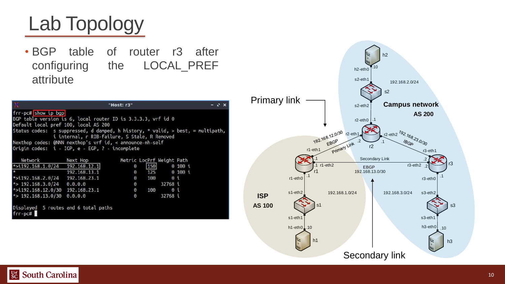• BGP table of router r3 after configuring the LOCAL\_PREF attribute

| frr-pc# show ip bgp<br>BGP table version is 6, local router ID is 3.3.3.3, vrf id $0$ |                                               |                           |                  |             |  |  |
|---------------------------------------------------------------------------------------|-----------------------------------------------|---------------------------|------------------|-------------|--|--|
|                                                                                       |                                               |                           |                  |             |  |  |
|                                                                                       |                                               |                           |                  |             |  |  |
|                                                                                       | Default local pref 100, local AS 200          |                           |                  |             |  |  |
| Status codes: s suppressed, d damped, h history, * valid, > best, = multipath,        |                                               |                           |                  |             |  |  |
|                                                                                       | i internal, r RIB-failure, S Stale, R Removed |                           |                  |             |  |  |
| Nexthop codes: @NNN nexthop's vrf id, < announce-nh-self                              |                                               |                           |                  |             |  |  |
| Origin codes: i - IGP, e - EGP, ? - incomplete                                        |                                               |                           |                  |             |  |  |
|                                                                                       |                                               |                           |                  |             |  |  |
| Network Next Hop                                                                      |                                               | Metric LocPrf Weight Path |                  |             |  |  |
| $*$ > i192.168.1.0/24 192.168.12.1                                                    |                                               | Θ                         |                  | 150 0 100 i |  |  |
|                                                                                       | 192.168.13.1                                  |                           | $0$ 125 0 100 i  |             |  |  |
| *>i192.168.2.0/24   192.168.23.1                                                      |                                               | $\bullet$                 |                  | 100 0 i     |  |  |
| *> $192.168.3.0/24$ 0.0.0.0                                                           |                                               | $\Theta$                  | 32768 i          |             |  |  |
| *>i192.168.12.0/30 192.168.23.1                                                       |                                               |                           | $0 \t 100 \t 0i$ |             |  |  |
| *> $192.168.13.0/30$ 0.0.0.0                                                          |                                               | $\Theta$                  |                  | 32768 i     |  |  |
|                                                                                       |                                               |                           |                  |             |  |  |
| Displayed 5 routes and 6 total paths                                                  |                                               |                           |                  |             |  |  |
| frr-pc#                                                                               |                                               |                           |                  |             |  |  |



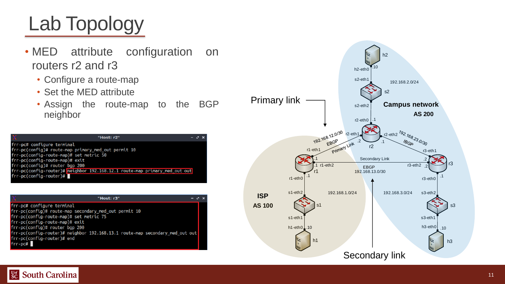- MED attribute configuration on routers r2 and r3
	- Configure a route-map
	- Set the MED attribute
	- Assign the route-map to the BGP neighbor

| "Host: r2"                                                                 | $-7x$ |  |  |  |  |
|----------------------------------------------------------------------------|-------|--|--|--|--|
| frr-pc# configure terminal                                                 |       |  |  |  |  |
| frr-pc(config)# route-map primary_med_out permit 10                        |       |  |  |  |  |
| frr-pc(config-route-map)# set metric 50                                    |       |  |  |  |  |
| frr-pc(config-route-map)# exit                                             |       |  |  |  |  |
| frr-pc(config)# router bgp 200                                             |       |  |  |  |  |
| frr-pc(config-router)# neighbor 192.168.12.1 route-map primary_med_out out |       |  |  |  |  |
| $frr$ -pc(config-router)#                                                  |       |  |  |  |  |
|                                                                            |       |  |  |  |  |

|                                            | "Host: r3"                                                                   | $-7x$ |
|--------------------------------------------|------------------------------------------------------------------------------|-------|
| frr-pc# configure terminal                 |                                                                              |       |
|                                            | frr-pc(config)# route-map secondary_med_out permit 10                        |       |
| $frr$ -pc(config-route-map)# set metric 75 |                                                                              |       |
| frr-pc(config-route-map)# exit             |                                                                              |       |
| frr-pc(config)# router bgp 200             |                                                                              |       |
|                                            | frr-pc(config-router)# neighbor 192.168.13.1 route-map secondary_med_out out |       |
| frr-pc(config-router)# end                 |                                                                              |       |
| frr-pc#                                    |                                                                              |       |